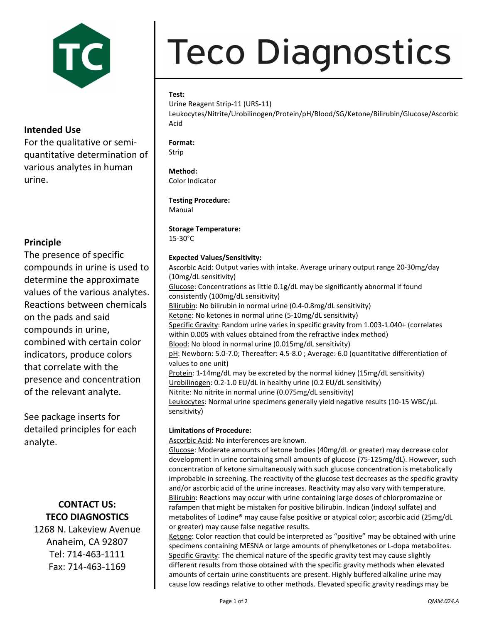

## **Intended Use**

For the qualitative or semi‐ quantitative determination of various analytes in human urine.

## **Principle**

The presence of specific compounds in urine is used to determine the approximate values of the various analytes. Reactions between chemicals on the pads and said compounds in urine, combined with certain color indicators, produce colors that correlate with the presence and concentration of the relevant analyte.

See package inserts for detailed principles for each analyte.

## **CONTACT US: TECO DIAGNOSTICS**

1268 N. Lakeview Avenue Anaheim, CA 92807 Tel: 714‐463‐1111 Fax: 714‐463‐1169

# **Teco Diagnostics**

### **Test:**

Urine Reagent Strip‐11 (URS‐11)

Leukocytes/Nitrite/Urobilinogen/Protein/pH/Blood/SG/Ketone/Bilirubin/Glucose/Ascorbic Acid

**Format:** Strip

**Method:**

Color Indicator

#### **Testing Procedure:**

Manual

## **Storage Temperature:**

15‐30°C

#### **Expected Values/Sensitivity:**

Ascorbic Acid: Output varies with intake. Average urinary output range 20‐30mg/day (10mg/dL sensitivity) Glucose: Concentrations as little 0.1g/dL may be significantly abnormal if found consistently (100mg/dL sensitivity) Bilirubin: No bilirubin in normal urine (0.4-0.8mg/dL sensitivity) Ketone: No ketones in normal urine (5‐10mg/dL sensitivity) Specific Gravity: Random urine varies in specific gravity from 1.003-1.040+ (correlates within 0.005 with values obtained from the refractive index method) Blood: No blood in normal urine (0.015mg/dL sensitivity) pH: Newborn: 5.0-7.0; Thereafter: 4.5-8.0; Average: 6.0 (quantitative differentiation of values to one unit) Protein: 1‐14mg/dL may be excreted by the normal kidney (15mg/dL sensitivity) Urobilinogen: 0.2‐1.0 EU/dL in healthy urine (0.2 EU/dL sensitivity) Nitrite: No nitrite in normal urine (0.075mg/dL sensitivity) Leukocytes: Normal urine specimens generally yield negative results (10-15 WBC/µL sensitivity)

#### **Limitations of Procedure:**

Ascorbic Acid: No interferences are known.

Glucose: Moderate amounts of ketone bodies (40mg/dL or greater) may decrease color development in urine containing small amounts of glucose (75‐125mg/dL). However, such concentration of ketone simultaneously with such glucose concentration is metabolically improbable in screening. The reactivity of the glucose test decreases as the specific gravity and/or ascorbic acid of the urine increases. Reactivity may also vary with temperature. Bilirubin: Reactions may occur with urine containing large doses of chlorpromazine or rafampen that might be mistaken for positive bilirubin. Indican (indoxyl sulfate) and metabolites of Lodine® may cause false positive or atypical color; ascorbic acid (25mg/dL or greater) may cause false negative results.

Ketone: Color reaction that could be interpreted as "positive" may be obtained with urine specimens containing MESNA or large amounts of phenylketones or L‐dopa metabolites. Specific Gravity: The chemical nature of the specific gravity test may cause slightly different results from those obtained with the specific gravity methods when elevated amounts of certain urine constituents are present. Highly buffered alkaline urine may cause low readings relative to other methods. Elevated specific gravity readings may be